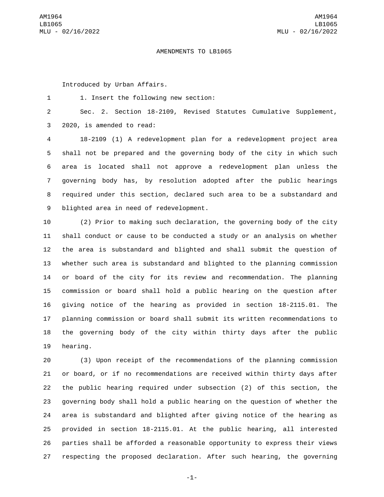## AMENDMENTS TO LB1065

Introduced by Urban Affairs.

1. Insert the following new section:1

 Sec. 2. Section 18-2109, Revised Statutes Cumulative Supplement, 3 2020, is amended to read:

 18-2109 (1) A redevelopment plan for a redevelopment project area shall not be prepared and the governing body of the city in which such area is located shall not approve a redevelopment plan unless the governing body has, by resolution adopted after the public hearings required under this section, declared such area to be a substandard and 9 blighted area in need of redevelopment.

 (2) Prior to making such declaration, the governing body of the city shall conduct or cause to be conducted a study or an analysis on whether the area is substandard and blighted and shall submit the question of whether such area is substandard and blighted to the planning commission or board of the city for its review and recommendation. The planning commission or board shall hold a public hearing on the question after giving notice of the hearing as provided in section 18-2115.01. The planning commission or board shall submit its written recommendations to the governing body of the city within thirty days after the public 19 hearing.

 (3) Upon receipt of the recommendations of the planning commission or board, or if no recommendations are received within thirty days after the public hearing required under subsection (2) of this section, the governing body shall hold a public hearing on the question of whether the area is substandard and blighted after giving notice of the hearing as provided in section 18-2115.01. At the public hearing, all interested parties shall be afforded a reasonable opportunity to express their views respecting the proposed declaration. After such hearing, the governing

-1-